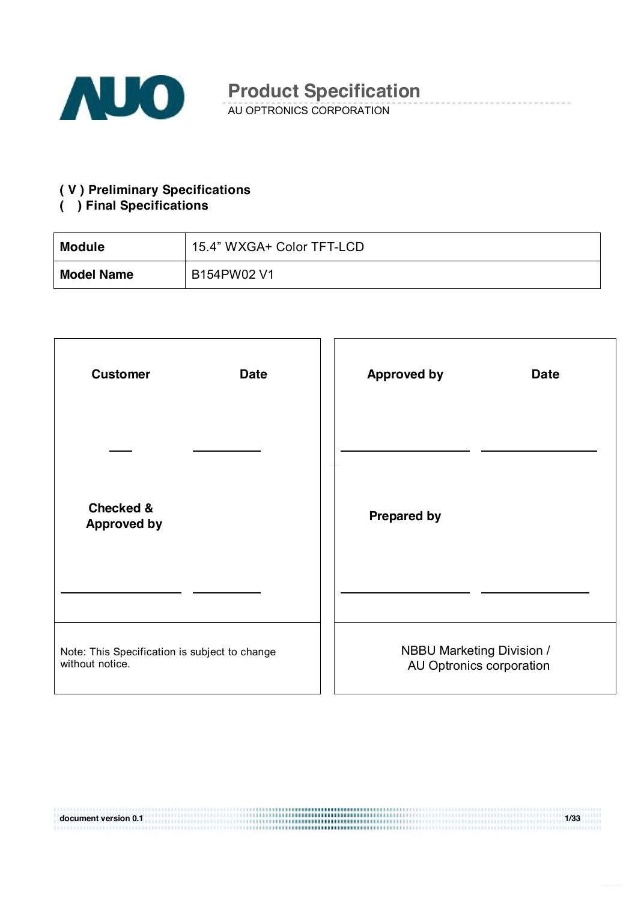

AU OPTRONICS CORPORATION

## **( V ) Preliminary Specifications**

### **( ) Final Specifications**

| <b>Module</b>     | 15.4" WXGA+ Color TFT-LCD |
|-------------------|---------------------------|
| <b>Model Name</b> | B154PW02 V1               |



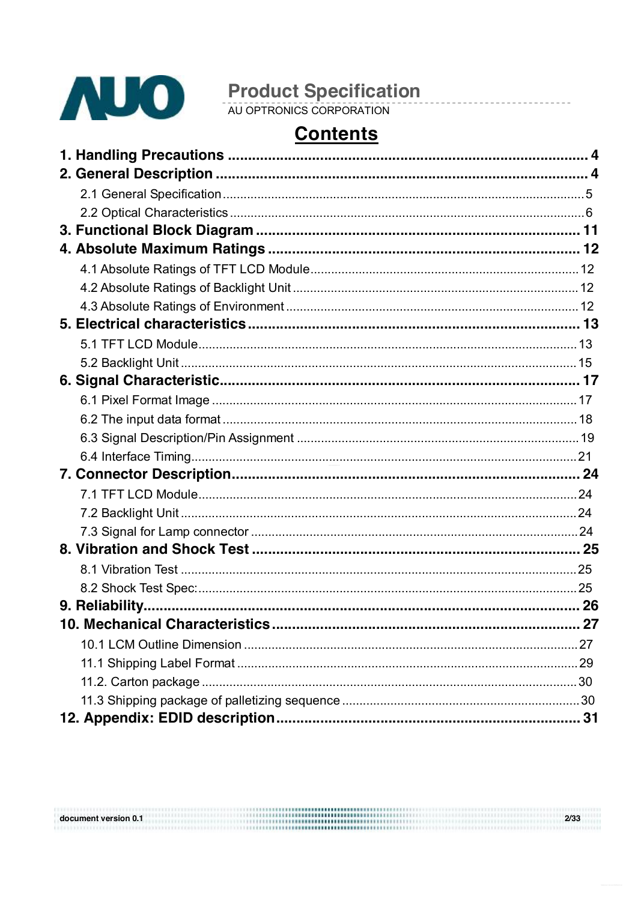

# **Contents**

-----------

| 27 |
|----|
|    |
|    |
|    |
|    |
|    |

| document version 0.1 | ,,,,,,,,,,,,,,,,,,,,,,,,,,,,,,,,,, | 2/33 |
|----------------------|------------------------------------|------|
|                      |                                    |      |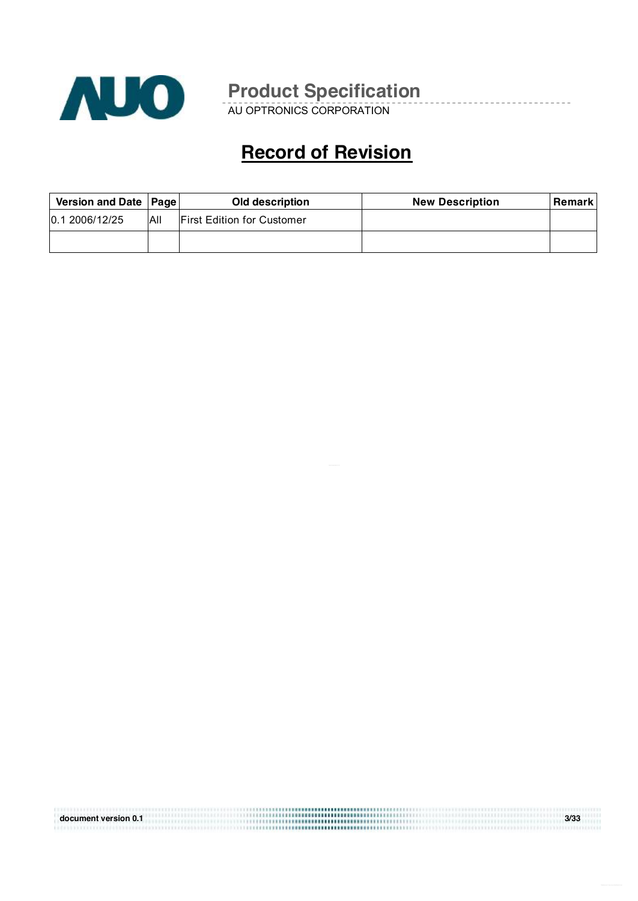

AU OPTRONICS CORPORATION

# **Record of Revision**

| Version and Date   Page |     | Old description                   | <b>New Description</b> | <b>Remark</b> |
|-------------------------|-----|-----------------------------------|------------------------|---------------|
| 0.1 2006/12/25          | All | <b>First Edition for Customer</b> |                        |               |
|                         |     |                                   |                        |               |

| document version 0.1 | <b></b> | 3/33 |
|----------------------|---------|------|
|                      |         |      |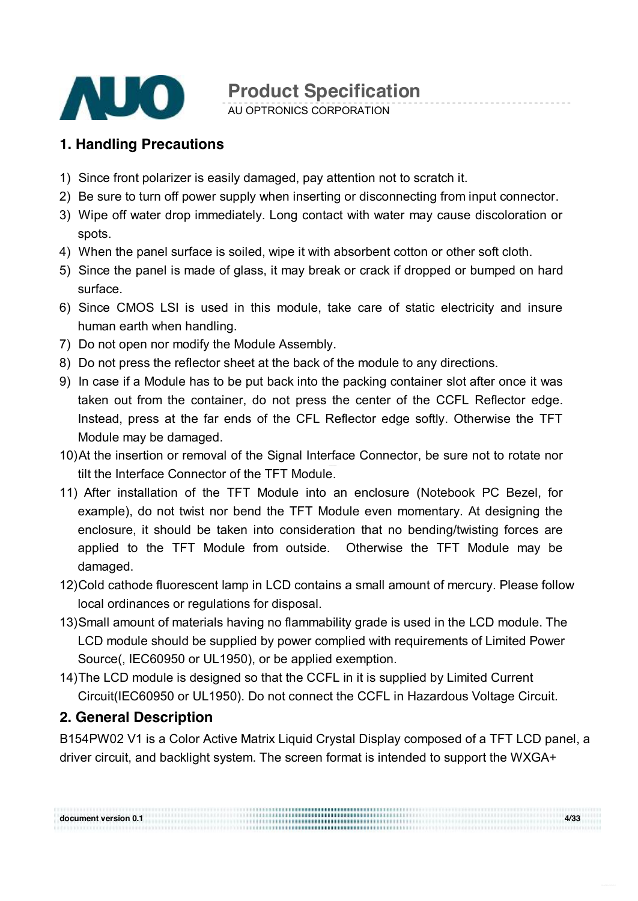

AU OPTRONICS CORPORATION

#### **1. Handling Precautions**

- 1) Since front polarizer is easily damaged, pay attention not to scratch it.
- 2) Be sure to turn off power supply when inserting or disconnecting from input connector.
- 3) Wipe off water drop immediately. Long contact with water may cause discoloration or spots.
- 4) When the panel surface is soiled, wipe it with absorbent cotton or other soft cloth.
- 5) Since the panel is made of glass, it may break or crack if dropped or bumped on hard surface.
- 6) Since CMOS LSI is used in this module, take care of static electricity and insure human earth when handling.
- 7) Do not open nor modify the Module Assembly.
- 8) Do not press the reflector sheet at the back of the module to any directions.
- 9) In case if a Module has to be put back into the packing container slot after once it was taken out from the container, do not press the center of the CCFL Reflector edge. Instead, press at the far ends of the CFL Reflector edge softly. Otherwise the TFT Module may be damaged.
- 10)At the insertion or removal of the Signal Interface Connector, be sure not to rotate nor tilt the Interface Connector of the TFT Module.
- 11) After installation of the TFT Module into an enclosure (Notebook PC Bezel, for example), do not twist nor bend the TFT Module even momentary. At designing the enclosure, it should be taken into consideration that no bending/twisting forces are applied to the TFT Module from outside. Otherwise the TFT Module may be damaged.
- 12)Cold cathode fluorescent lamp in LCD contains a small amount of mercury. Please follow local ordinances or regulations for disposal.
- 13)Small amount of materials having no flammability grade is used in the LCD module. The LCD module should be supplied by power complied with requirements of Limited Power Source(, IEC60950 or UL1950), or be applied exemption.
- 14)The LCD module is designed so that the CCFL in it is supplied by Limited Current Circuit(IEC60950 or UL1950). Do not connect the CCFL in Hazardous Voltage Circuit.

### **2. General Description**

B154PW02 V1 is a Color Active Matrix Liquid Crystal Display composed of a TFT LCD panel, a driver circuit, and backlight system. The screen format is intended to support the WXGA+

| document version 0.1 | ,,,,,,,,,,,,,,,,,,,,,,,,,,,,,,,,,,,, | 4/33 |
|----------------------|--------------------------------------|------|
|                      |                                      |      |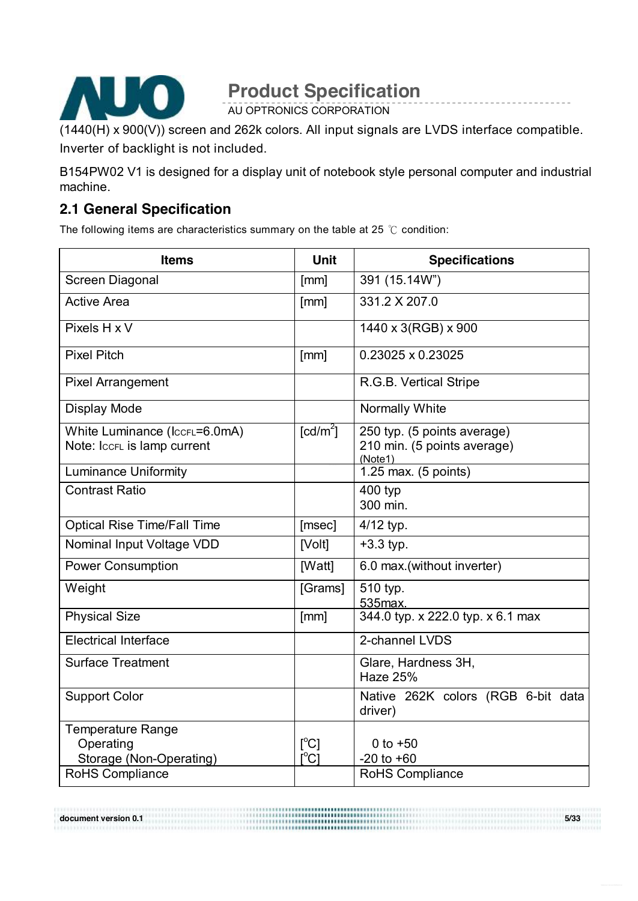

AU OPTRONICS CORPORATION

(1440(H) x 900(V)) screen and 262k colors. All input signals are LVDS interface compatible. Inverter of backlight is not included.

B154PW02 V1 is designed for a display unit of notebook style personal computer and industrial machine.

#### **2.1 General Specification**

The following items are characteristics summary on the table at 25 ℃ condition:

| <b>Items</b>                                                 | <b>Unit</b>            | <b>Specifications</b>                                                 |
|--------------------------------------------------------------|------------------------|-----------------------------------------------------------------------|
| Screen Diagonal                                              | [mm]                   | 391 (15.14W")                                                         |
| <b>Active Area</b>                                           | [mm]                   | 331.2 X 207.0                                                         |
| Pixels H x V                                                 |                        | 1440 x 3(RGB) x 900                                                   |
| <b>Pixel Pitch</b>                                           | [mm]                   | 0.23025 x 0.23025                                                     |
| <b>Pixel Arrangement</b>                                     |                        | R.G.B. Vertical Stripe                                                |
| Display Mode                                                 |                        | Normally White                                                        |
| White Luminance (IccFL=6.0mA)<br>Note: IccFL is lamp current | $\lceil cd/m^2 \rceil$ | 250 typ. (5 points average)<br>210 min. (5 points average)<br>(Note1) |
| <b>Luminance Uniformity</b>                                  |                        | 1.25 max. (5 points)                                                  |
| <b>Contrast Ratio</b>                                        |                        | 400 typ<br>300 min.                                                   |
| <b>Optical Rise Time/Fall Time</b>                           | [msec]                 | 4/12 typ.                                                             |
| Nominal Input Voltage VDD                                    | [Volt]                 | $+3.3$ typ.                                                           |
| <b>Power Consumption</b>                                     | [Watt]                 | 6.0 max.(without inverter)                                            |
| Weight                                                       | [Grams]                | 510 typ.<br>535max.                                                   |
| <b>Physical Size</b>                                         | [mm]                   | 344.0 typ. x 222.0 typ. x 6.1 max                                     |
| <b>Electrical Interface</b>                                  |                        | 2-channel LVDS                                                        |
| <b>Surface Treatment</b>                                     |                        | Glare, Hardness 3H,<br>Haze 25%                                       |
| <b>Support Color</b>                                         |                        | Native 262K colors (RGB 6-bit data<br>driver)                         |
| <b>Temperature Range</b>                                     |                        |                                                                       |
| Operating                                                    | $[^{\circ}C]$          | 0 to $+50$                                                            |
| Storage (Non-Operating)                                      | [°C]                   | $-20$ to $+60$                                                        |
| RoHS Compliance                                              |                        | <b>RoHS Compliance</b>                                                |

**document version 0.1 5/33**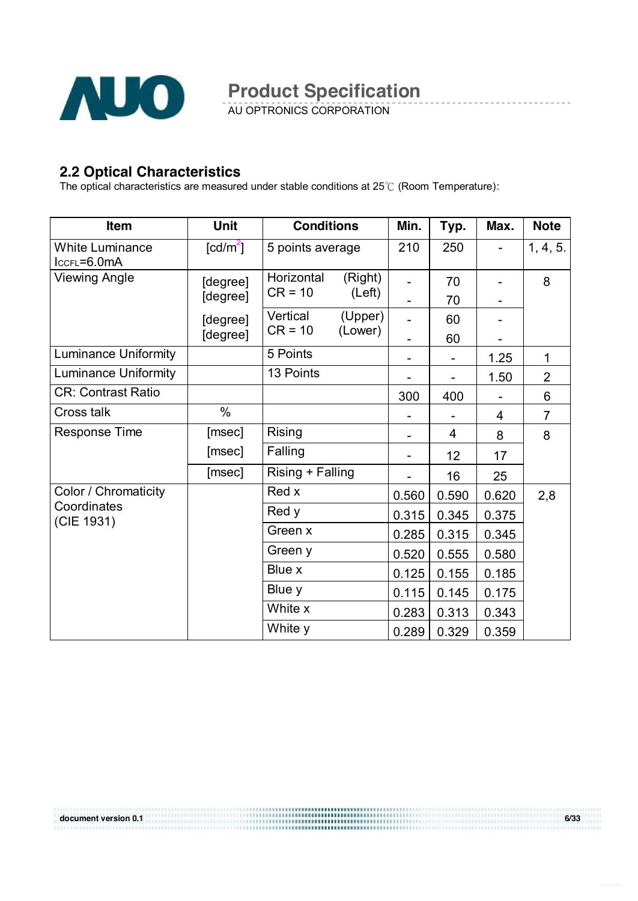

AU OPTRONICS CORPORATION

### **2.2 Optical Characteristics**

The optical characteristics are measured under stable conditions at 25℃ (Room Temperature):

| <b>Item</b>                           | <b>Unit</b>            | <b>Conditions</b>       |                    | Min.  | Typ.  | Max.  | <b>Note</b>    |
|---------------------------------------|------------------------|-------------------------|--------------------|-------|-------|-------|----------------|
| <b>White Luminance</b><br>IccFL=6.0mA | $\lceil cd/m^2 \rceil$ | 5 points average        |                    | 210   | 250   |       | 1, 4, 5.       |
| Viewing Angle                         | [degree]               | Horizontal<br>$CR = 10$ | (Right)<br>(Left)  |       | 70    |       | 8              |
|                                       | [degree]               |                         |                    |       | 70    |       |                |
|                                       | [degree]<br>[degree]   | Vertical<br>$CR = 10$   | (Upper)<br>(Lower) |       | 60    |       |                |
|                                       |                        |                         |                    |       | 60    |       |                |
| <b>Luminance Uniformity</b>           |                        | 5 Points                |                    |       |       | 1.25  | 1              |
| <b>Luminance Uniformity</b>           |                        | 13 Points               |                    |       |       | 1.50  | $\overline{2}$ |
| <b>CR: Contrast Ratio</b>             |                        |                         |                    | 300   | 400   |       | 6              |
| Cross talk                            | $\%$                   |                         |                    |       |       | 4     | $\overline{7}$ |
| <b>Response Time</b>                  | [msec]                 | <b>Rising</b>           |                    |       | 4     | 8     | 8              |
|                                       | [msec]                 | Falling                 |                    |       | 12    | 17    |                |
|                                       | [msec]                 | Rising + Falling        |                    |       | 16    | 25    |                |
| Color / Chromaticity                  |                        | Red x                   |                    | 0.560 | 0.590 | 0.620 | 2,8            |
| Coordinates<br>(CIE 1931)             |                        | Red y                   |                    | 0.315 | 0.345 | 0.375 |                |
|                                       |                        | Green x                 |                    | 0.285 | 0.315 | 0.345 |                |
|                                       |                        | Green y                 |                    | 0.520 | 0.555 | 0.580 |                |
|                                       |                        | Blue x                  |                    | 0.125 | 0.155 | 0.185 |                |
|                                       |                        | Blue y                  |                    | 0.115 | 0.145 | 0.175 |                |
|                                       |                        | White x                 |                    | 0.283 | 0.313 | 0.343 |                |
|                                       |                        | White y                 |                    | 0.289 | 0.329 | 0.359 |                |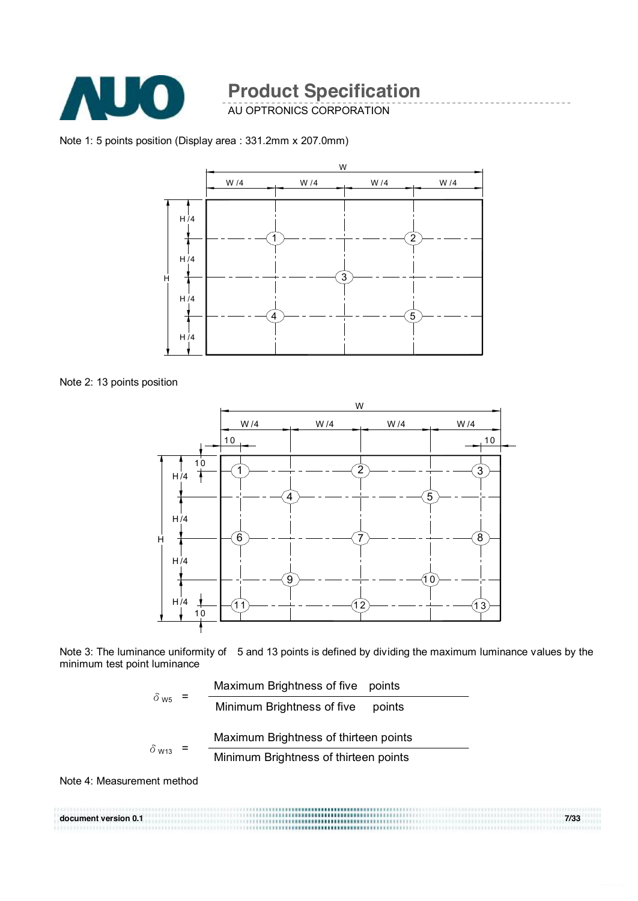

AU OPTRONICS CORPORATION

#### Note 1: 5 points position (Display area : 331.2mm x 207.0mm)



Note 2: 13 points position



Note 3: The luminance uniformity of 5 and 13 points is defined by dividing the maximum luminance values by the minimum test point luminance

|                         | Maximum Brightness of five points     |
|-------------------------|---------------------------------------|
| $\delta$ w <sub>5</sub> | Minimum Brightness of five<br>points  |
|                         | Maximum Brightness of thirteen points |
| $\delta$ W13            | Minimum Brightness of thirteen points |

Note 4: Measurement method

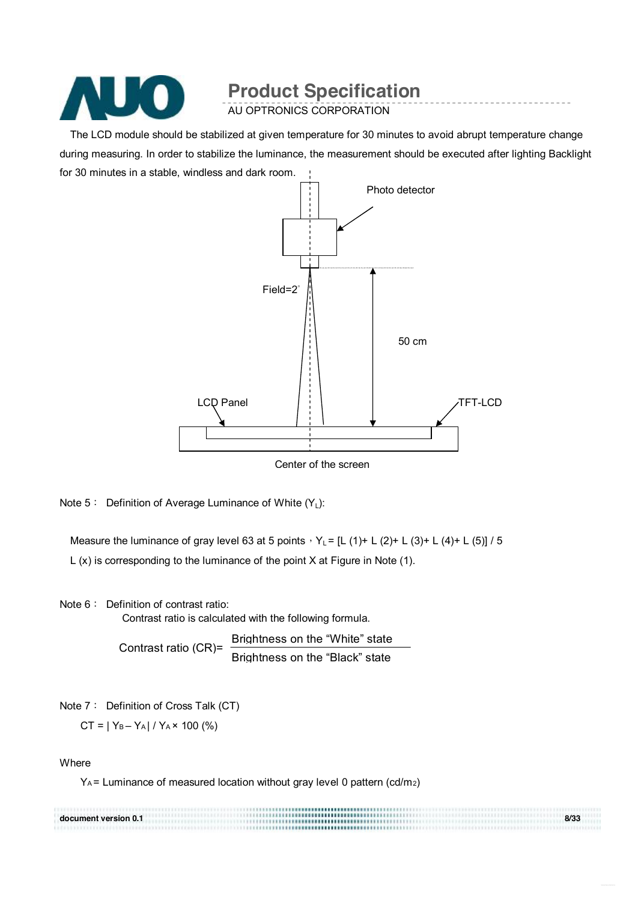

AU OPTRONICS CORPORATION

The LCD module should be stabilized at given temperature for 30 minutes to avoid abrupt temperature change during measuring. In order to stabilize the luminance, the measurement should be executed after lighting Backlight for 30 minutes in a stable, windless and dark room.



Center of the screen

Note 5: Definition of Average Luminance of White  $(Y_1)$ :

Measure the luminance of gray level 63 at 5 points,  $Y_L = [L (1) + L (2) + L (3) + L (4) + L (5)] / 5$ L (x) is corresponding to the luminance of the point X at Figure in Note (1).

Note 6: Definition of contrast ratio:

Contrast ratio is calculated with the following formula.

Contrast ratio (CR)= Brightness on the "White" state Brightness on the "Black" state

Note 7: Definition of Cross Talk (CT)

 $CT = |Y_B - Y_A| / Y_A \times 100$  (%)

**Where** 

YA = Luminance of measured location without gray level 0 pattern (cd/m2)

| document version 0.1 | <b></b><br>,,,,,,,,,,,,,,,,,,,,,,,,,,,,,,,,,,,, | 8/33 |
|----------------------|-------------------------------------------------|------|
|                      | \xxxxx <b>xxxxxxxxxxxxxxxxxx</b> xxxxxxxxxxx    |      |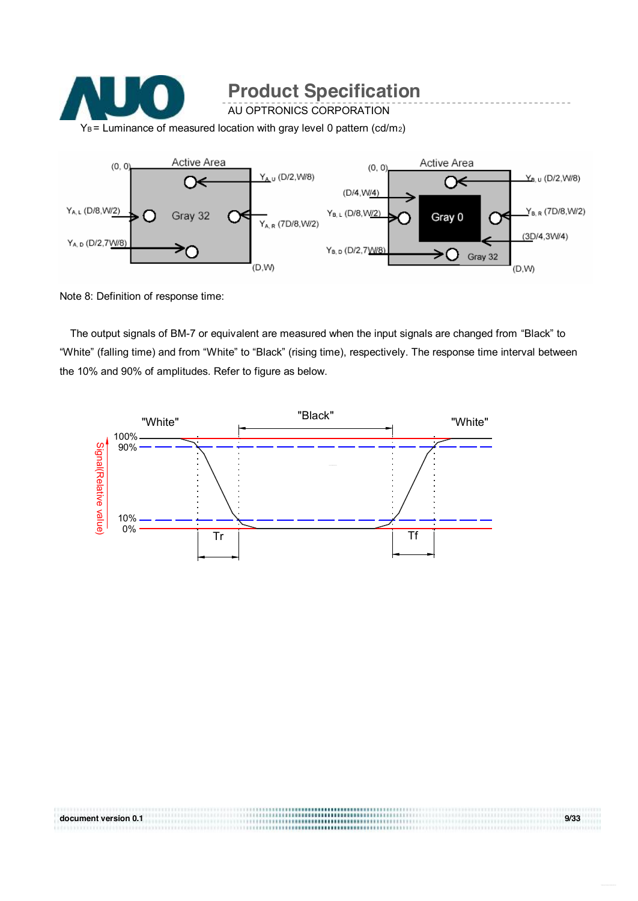

Note 8: Definition of response time:

The output signals of BM-7 or equivalent are measured when the input signals are changed from "Black" to "White" (falling time) and from "White" to "Black" (rising time), respectively. The response time interval between the 10% and 90% of amplitudes. Refer to figure as below.



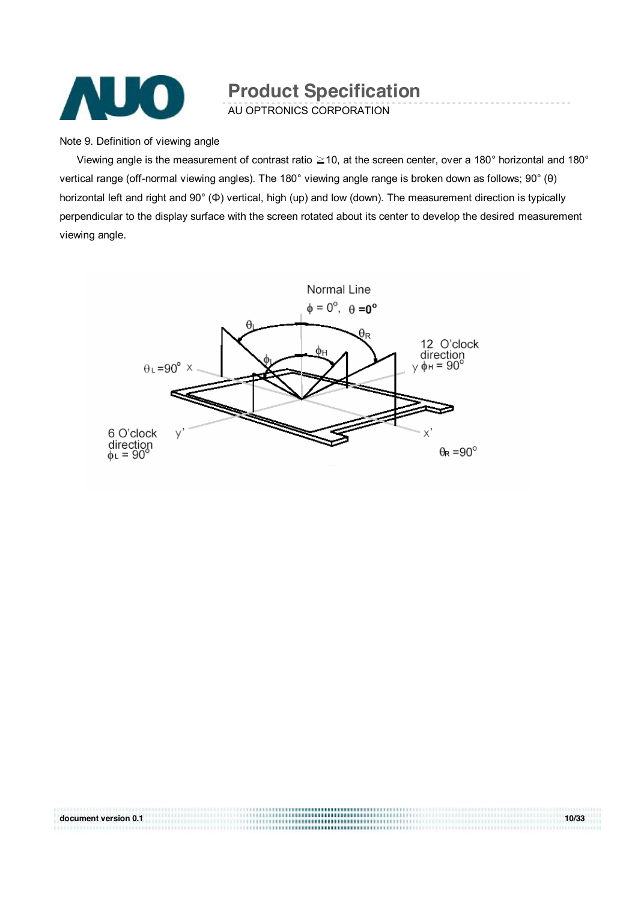

AU OPTRONICS CORPORATION

Note 9. Definition of viewing angle

Viewing angle is the measurement of contrast ratio ≧10, at the screen center, over a 180° horizontal and 180° vertical range (off-normal viewing angles). The 180° viewing angle range is broken down as follows; 90° (θ) horizontal left and right and 90° (Φ) vertical, high (up) and low (down). The measurement direction is typically perpendicular to the display surface with the screen rotated about its center to develop the desired measurement viewing angle.



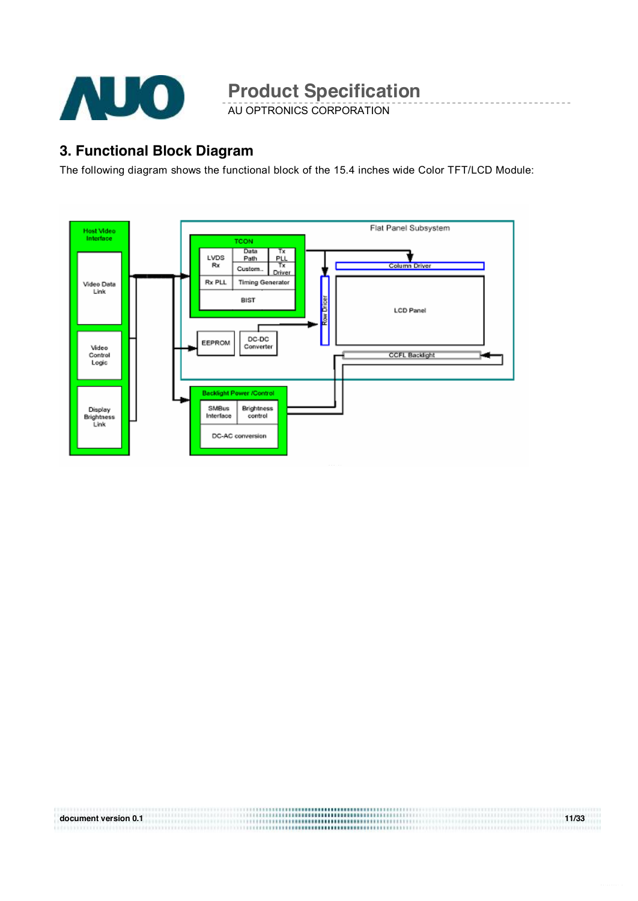

AU OPTRONICS CORPORATION

### **3. Functional Block Diagram**

The following diagram shows the functional block of the 15.4 inches wide Color TFT/LCD Module:



| document version 0.1 | 11/33 |
|----------------------|-------|
|                      |       |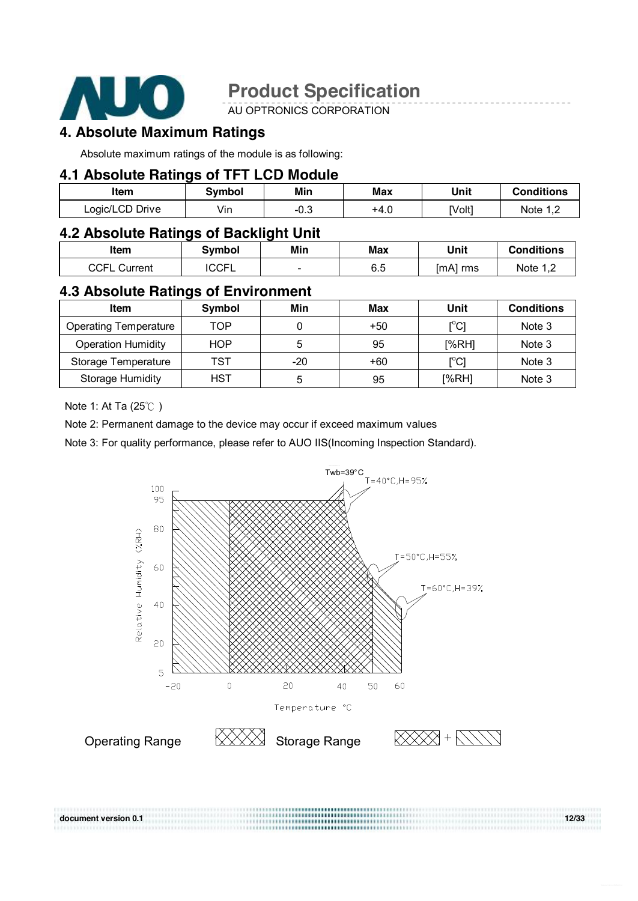

AU OPTRONICS CORPORATION

#### **4. Absolute Maximum Ratings**

Absolute maximum ratings of the module is as following:

#### **4.1 Absolute Ratings of TFT LCD Module**

| <b>Item</b>     | Svmbol          | Min    | Max  | Unit   | <b>Conditions</b> |
|-----------------|-----------------|--------|------|--------|-------------------|
| Logic/LCD Drive | $\cdots$<br>Vın | $-0.3$ | +4.U | [Volt] | Note 1 C          |

#### **4.2 Absolute Ratings of Backlight Unit**

| <b>Item</b>       | Svmbol        | Min | Max | Unit     | <b>Conditions</b> |
|-------------------|---------------|-----|-----|----------|-------------------|
| CCFL<br>. Current | CCEI<br>יטטרב | -   | 6.5 | [mA] rms | Note 1 2          |

#### **4.3 Absolute Ratings of Environment**

| Item                         | <b>Symbol</b> | Min   | Max   | Unit                         | <b>Conditions</b> |
|------------------------------|---------------|-------|-------|------------------------------|-------------------|
| <b>Operating Temperature</b> | TOP           |       | $+50$ | $\mathsf{I}^\circ\mathsf{C}$ | Note 3            |
| <b>Operation Humidity</b>    | <b>HOP</b>    | 5     | 95    | [%RH]                        | Note 3            |
| Storage Temperature          | TST           | $-20$ | $+60$ | [°C]                         | Note 3            |
| <b>Storage Humidity</b>      | <b>HST</b>    | ა     | 95    | [%RH]                        | Note 3            |

Note 1: At Ta (25℃ )

Note 2: Permanent damage to the device may occur if exceed maximum values

Note 3: For quality performance, please refer to AUO IIS(Incoming Inspection Standard).

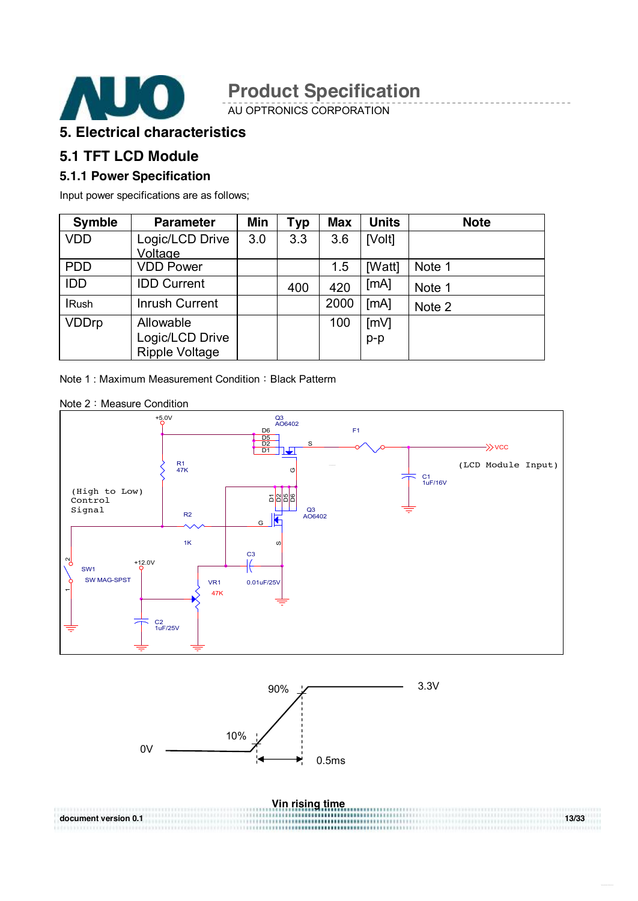

AU OPTRONICS CORPORATION

#### **5. Electrical characteristics**

#### **5.1 TFT LCD Module**

#### **5.1.1 Power Specification**

Input power specifications are as follows;

| <b>Symble</b> | <b>Parameter</b>      | <b>Min</b> | <b>Typ</b> | <b>Max</b> | <b>Units</b> | <b>Note</b> |
|---------------|-----------------------|------------|------------|------------|--------------|-------------|
| <b>VDD</b>    | Logic/LCD Drive       | 3.0        | 3.3        | 3.6        | [Volt]       |             |
|               | Voltage               |            |            |            |              |             |
| <b>PDD</b>    | <b>VDD Power</b>      |            |            | 1.5        | [Watt]       | Note 1      |
| <b>IDD</b>    | <b>IDD Current</b>    |            | 400        | 420        | [mA]         | Note 1      |
| <b>IRush</b>  | <b>Inrush Current</b> |            |            | 2000       | [MA]         | Note 2      |
| <b>VDDrp</b>  | Allowable             |            |            | 100        | [mV]         |             |
|               | Logic/LCD Drive       |            |            |            | $p-p$        |             |
|               | <b>Ripple Voltage</b> |            |            |            |              |             |

Note 1: Maximum Measurement Condition: Black Patterm







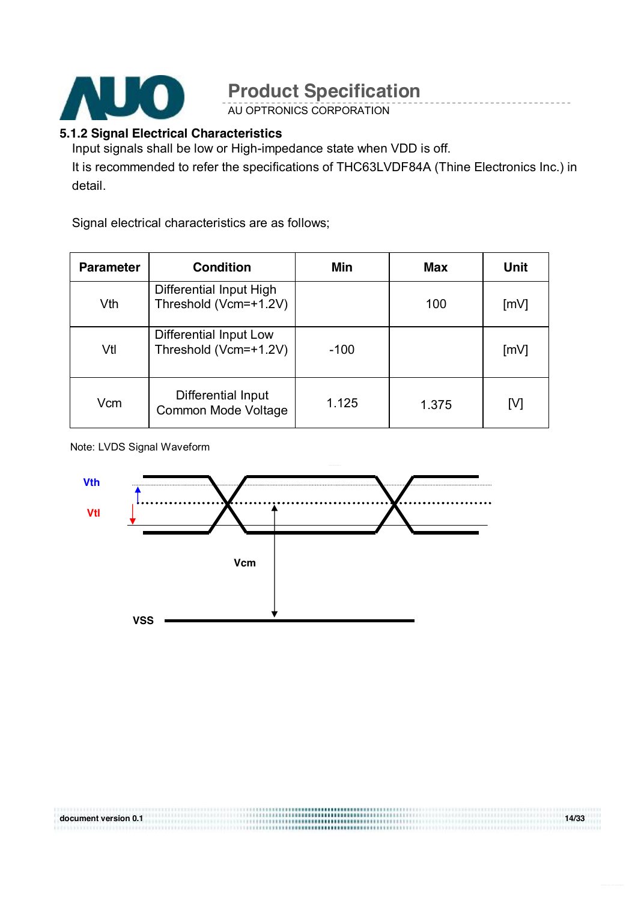

AU OPTRONICS CORPORATION

#### **5.1.2 Signal Electrical Characteristics**

Input signals shall be low or High-impedance state when VDD is off. It is recommended to refer the specifications of THC63LVDF84A (Thine Electronics Inc.) in detail.

Signal electrical characteristics are as follows;

| <b>Parameter</b> | <b>Condition</b>                                 | Min    | <b>Max</b> | Unit |
|------------------|--------------------------------------------------|--------|------------|------|
| Vth              | Differential Input High<br>Threshold (Vcm=+1.2V) |        | 100        | [mV] |
| Vtl              | Differential Input Low<br>Threshold (Vcm=+1.2V)  | $-100$ |            | [mV] |
| Vcm              | Differential Input<br><b>Common Mode Voltage</b> | 1.125  | 1.375      | [V]  |

Note: LVDS Signal Waveform

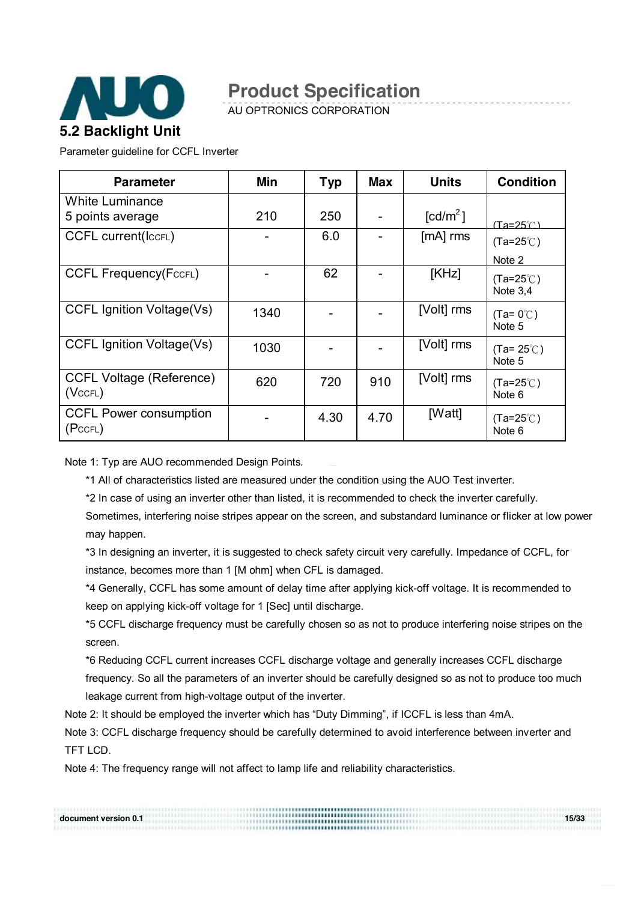

AU OPTRONICS CORPORATION

Parameter guideline for CCFL Inverter

| <b>Parameter</b>                                 | Min  | <b>Typ</b> | <b>Max</b> | <b>Units</b>         | <b>Condition</b>                 |
|--------------------------------------------------|------|------------|------------|----------------------|----------------------------------|
| <b>White Luminance</b>                           |      |            |            |                      |                                  |
| 5 points average                                 | 210  | 250        |            | [cd/m <sup>2</sup> ] | $(Ta=25^\circ \text{C})$         |
| <b>CCFL current(ICCFL)</b>                       |      | 6.0        |            | $[mA]$ rms           | $(Ta=25^{\circ}C)$               |
|                                                  |      |            |            |                      | Note 2                           |
| <b>CCFL Frequency(FccFL)</b>                     |      | 62         |            | [KHz]                | $(Ta=25^{\circ}C)$<br>Note $3,4$ |
| <b>CCFL Ignition Voltage(Vs)</b>                 | 1340 |            |            | [Volt] rms           | $(Ta=0^{\circ}C)$<br>Note 5      |
| <b>CCFL Ignition Voltage(Vs)</b>                 | 1030 |            |            | [Volt] rms           | $(Ta=25^{\circ}$ C)<br>Note 5    |
| <b>CCFL Voltage (Reference)</b><br>$(Vc$ CFL $)$ | 620  | 720        | 910        | [Volt] rms           | $(Ta=25^{\circ}C)$<br>Note 6     |
| <b>CCFL Power consumption</b><br>(PccFL)         |      | 4.30       | 4.70       | [Watt]               | $(Ta=25^{\circ}$ C)<br>Note 6    |

Note 1: Typ are AUO recommended Design Points.

\*1 All of characteristics listed are measured under the condition using the AUO Test inverter.

\*2 In case of using an inverter other than listed, it is recommended to check the inverter carefully.

Sometimes, interfering noise stripes appear on the screen, and substandard luminance or flicker at low power may happen.

\*3 In designing an inverter, it is suggested to check safety circuit very carefully. Impedance of CCFL, for instance, becomes more than 1 [M ohm] when CFL is damaged.

\*4 Generally, CCFL has some amount of delay time after applying kick-off voltage. It is recommended to keep on applying kick-off voltage for 1 [Sec] until discharge.

\*5 CCFL discharge frequency must be carefully chosen so as not to produce interfering noise stripes on the screen.

\*6 Reducing CCFL current increases CCFL discharge voltage and generally increases CCFL discharge frequency. So all the parameters of an inverter should be carefully designed so as not to produce too much leakage current from high-voltage output of the inverter.

Note 2: It should be employed the inverter which has "Duty Dimming", if ICCFL is less than 4mA.

Note 3: CCFL discharge frequency should be carefully determined to avoid interference between inverter and TFT LCD.

Note 4: The frequency range will not affect to lamp life and reliability characteristics.

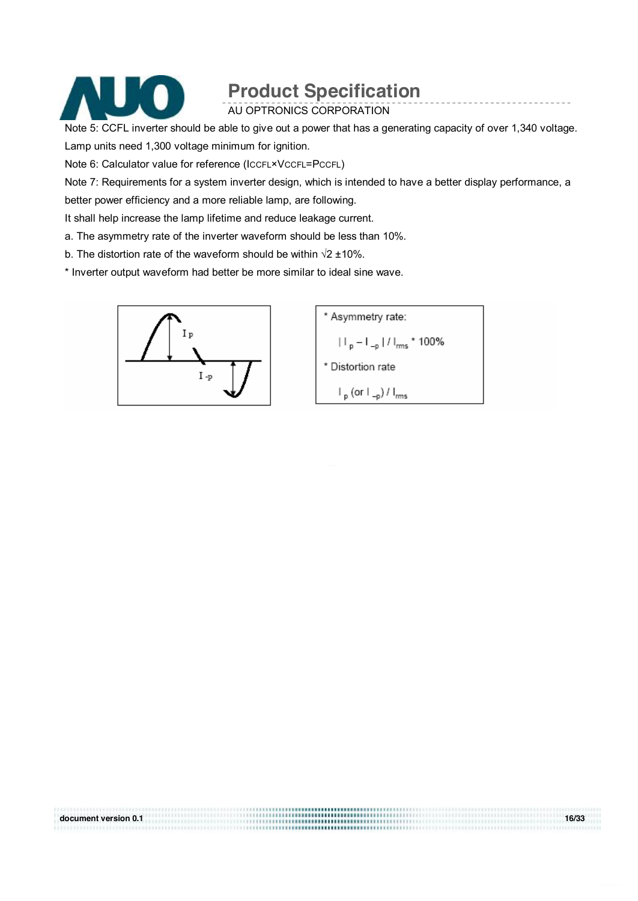

AU OPTRONICS CORPORATION

Note 5: CCFL inverter should be able to give out a power that has a generating capacity of over 1,340 voltage.

Lamp units need 1,300 voltage minimum for ignition.

Note 6: Calculator value for reference (ICCFL×VCCFL=PCCFL)

Note 7: Requirements for a system inverter design, which is intended to have a better display performance, a better power efficiency and a more reliable lamp, are following.

It shall help increase the lamp lifetime and reduce leakage current.

a. The asymmetry rate of the inverter waveform should be less than 10%.

b. The distortion rate of the waveform should be within  $\sqrt{2} \pm 10\%$ .

\* Inverter output waveform had better be more similar to ideal sine wave.





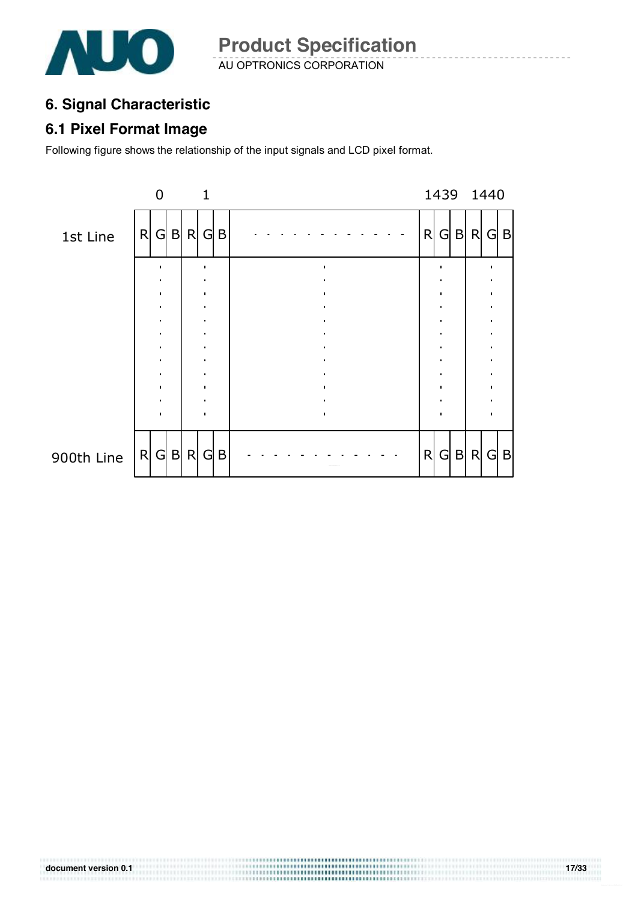

AU OPTRONICS CORPORATION **Product Specification** 

### **6. Signal Characteristic**

### **6.1 Pixel Format Image**

Following figure shows the relationship of the input signals and LCD pixel format.

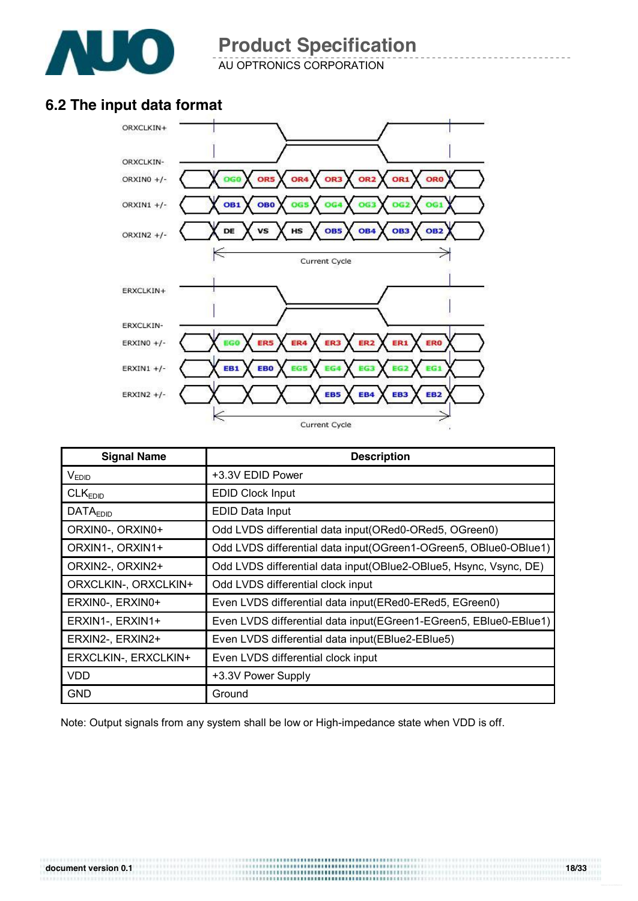

AU OPTRONICS CORPORATION

### **6.2 The input data format**



| <b>Signal Name</b>   | <b>Description</b>                                                 |
|----------------------|--------------------------------------------------------------------|
| V <sub>EDID</sub>    | +3.3V EDID Power                                                   |
| CLK <sub>EDID</sub>  | <b>EDID Clock Input</b>                                            |
| <b>DATAEDID</b>      | EDID Data Input                                                    |
| ORXIN0-, ORXIN0+     | Odd LVDS differential data input (ORed0-ORed5, OGreen0)            |
| ORXIN1-, ORXIN1+     | Odd LVDS differential data input(OGreen1-OGreen5, OBlue0-OBlue1)   |
| ORXIN2-, ORXIN2+     | Odd LVDS differential data input(OBlue2-OBlue5, Hsync, Vsync, DE)  |
| ORXCLKIN-, ORXCLKIN+ | Odd LVDS differential clock input                                  |
| ERXINO-, ERXINO+     | Even LVDS differential data input(ERed0-ERed5, EGreen0)            |
| ERXIN1-, ERXIN1+     | Even LVDS differential data input (EGreen1-EGreen5, EBIue0-EBIue1) |
| ERXIN2-, ERXIN2+     | Even LVDS differential data input(EBlue2-EBlue5)                   |
| ERXCLKIN-, ERXCLKIN+ | Even LVDS differential clock input                                 |
| <b>VDD</b>           | +3.3V Power Supply                                                 |
| <b>GND</b>           | Ground                                                             |

Note: Output signals from any system shall be low or High-impedance state when VDD is off.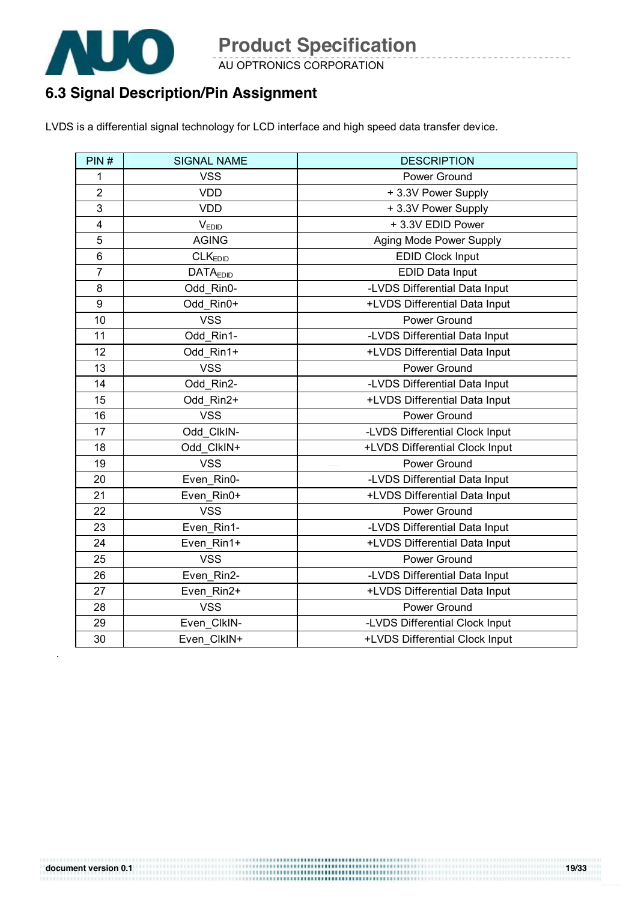

AU OPTRONICS CORPORATION

### **6.3 Signal Description/Pin Assignment**

LVDS is a differential signal technology for LCD interface and high speed data transfer device.

| PIN#                    | <b>SIGNAL NAME</b> | <b>DESCRIPTION</b>             |  |  |
|-------------------------|--------------------|--------------------------------|--|--|
| 1                       | <b>VSS</b>         | Power Ground                   |  |  |
| $\overline{2}$          | <b>VDD</b>         | +3.3V Power Supply             |  |  |
| 3                       | <b>VDD</b>         | +3.3V Power Supply             |  |  |
| $\overline{\mathbf{4}}$ | V <sub>EDID</sub>  | +3.3V EDID Power               |  |  |
| 5                       | <b>AGING</b>       | Aging Mode Power Supply        |  |  |
| 6                       | <b>CLKEDID</b>     | <b>EDID Clock Input</b>        |  |  |
| $\overline{7}$          | <b>DATAEDID</b>    | EDID Data Input                |  |  |
| 8                       | Odd Rin0-          | -LVDS Differential Data Input  |  |  |
| 9                       | Odd Rin0+          | +LVDS Differential Data Input  |  |  |
| 10                      | <b>VSS</b>         | Power Ground                   |  |  |
| 11                      | Odd_Rin1-          | -LVDS Differential Data Input  |  |  |
| 12                      | Odd Rin1+          | +LVDS Differential Data Input  |  |  |
| 13                      | <b>VSS</b>         | Power Ground                   |  |  |
| 14                      | Odd_Rin2-          | -LVDS Differential Data Input  |  |  |
| 15                      | Odd Rin2+          | +LVDS Differential Data Input  |  |  |
| 16                      | <b>VSS</b>         | Power Ground                   |  |  |
| 17                      | Odd_ClkIN-         | -LVDS Differential Clock Input |  |  |
| 18                      | Odd ClkIN+         | +LVDS Differential Clock Input |  |  |
| 19                      | <b>VSS</b>         | Power Ground                   |  |  |
| 20                      | Even Rin0-         | -LVDS Differential Data Input  |  |  |
| 21                      | Even_Rin0+         | +LVDS Differential Data Input  |  |  |
| 22                      | <b>VSS</b>         | Power Ground                   |  |  |
| 23                      | Even Rin1-         | -LVDS Differential Data Input  |  |  |
| 24                      | Even Rin1+         | +LVDS Differential Data Input  |  |  |
| 25                      | <b>VSS</b>         | Power Ground                   |  |  |
| 26                      | Even_Rin2-         | -LVDS Differential Data Input  |  |  |
| 27                      | Even_Rin2+         | +LVDS Differential Data Input  |  |  |
| 28                      | <b>VSS</b>         | Power Ground                   |  |  |
| 29                      | Even ClkIN-        | -LVDS Differential Clock Input |  |  |
| 30                      | Even ClkIN+        | +LVDS Differential Clock Input |  |  |

......................

.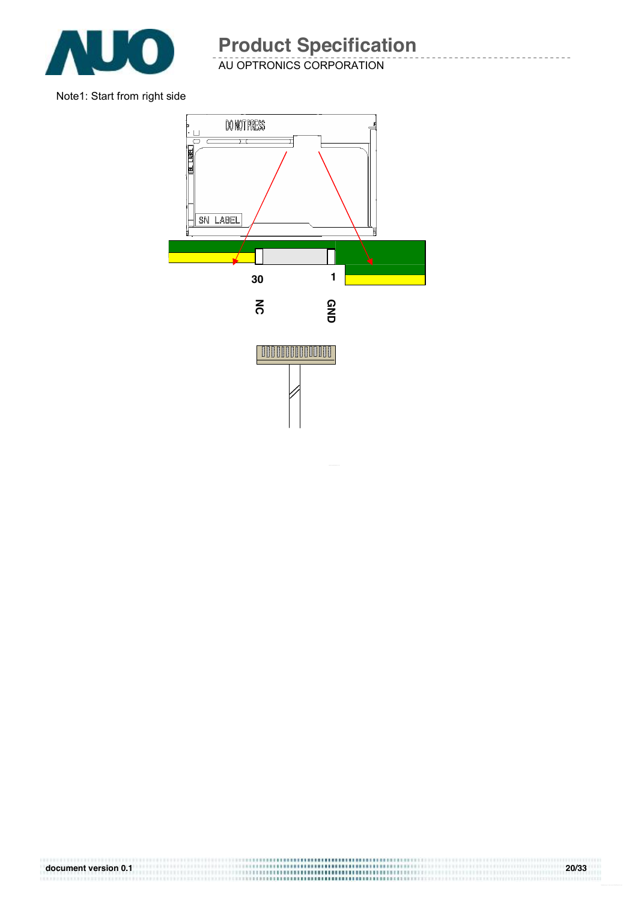

AU OPTRONICS CORPORATION **Product Specification** 

Note1: Start from right side

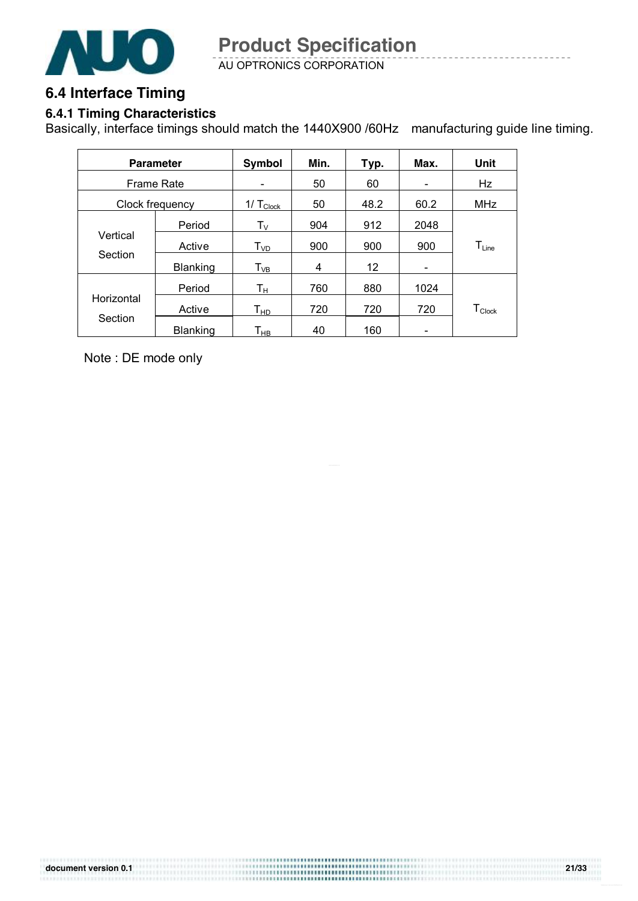

#### AU OPTRONICS CORPORATION

### **6.4 Interface Timing**

#### **6.4.1 Timing Characteristics**

Basically, interface timings should match the 1440X900 /60Hz manufacturing guide line timing.

|            | <b>Parameter</b>  | Symbol                        | Min. | Typ. | Max. | Unit                           |
|------------|-------------------|-------------------------------|------|------|------|--------------------------------|
|            | <b>Frame Rate</b> |                               | 50   | 60   |      | Hz                             |
|            | Clock frequency   | $1/\mathsf{T}_{\text{Clock}}$ | 50   | 48.2 | 60.2 | MHz                            |
|            | Period            | $\mathsf{T}_\mathsf{V}$       | 904  | 912  | 2048 |                                |
| Vertical   | Active            | $T_{VD}$                      | 900  | 900  | 900  | $T_{Line}$                     |
| Section    | <b>Blanking</b>   | $T_{VB}$                      | 4    | 12   |      |                                |
|            | Period            | Tн                            | 760  | 880  | 1024 |                                |
| Horizontal | Active            | Т <sub>нр</sub>               | 720  | 720  | 720  | ${\mathsf T}_{\mathsf{Clock}}$ |
| Section    | <b>Blanking</b>   | Т <sub>нв</sub>               | 40   | 160  |      |                                |

Note : DE mode only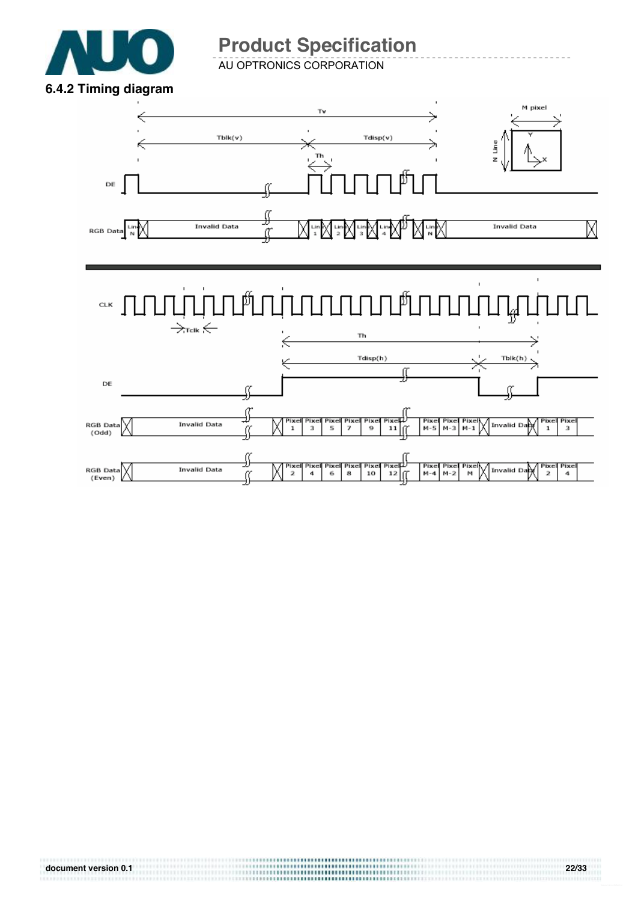

DE

 $RGB Data \times (Odd)$ 

 $RGB Data \times (Even)$ 

 $(Even)$ 

 $(Odd)$ 

# **Product Specification**

AU OPTRONICS CORPORATION



ß

ß

∯

∬

**Invalid Data** 

**Invalid Data** 

Pixe<br>6

Pix<br>8

Pix

 $\mathbf{1}$  $\overline{\mathbf{3}}$  $\mathbf S$  $\overline{z}$ 

Pixe<br>2

ix<br>4

X

Tdisp(h)

Pixe<br>9 Pixel<br>11

Pixe<br>10

ſĨ.

١ſ

Œ

ixel<br>12

Pixe<br>M-5

Pixe<br>M-4

Pixe Pixe<br>M-1

 $M-3$ 

Pixe<br>M-2

Pixe<br>M

### **document version 0.1 22/33**

Χ

Pix 'ix<br>1

 $\bar{\mathbf{3}}$ 

<sup>a</sup>ixe<br>4

ixe<br>2

 $Tblk(h)$ 

Invalid Dac

Invalid Day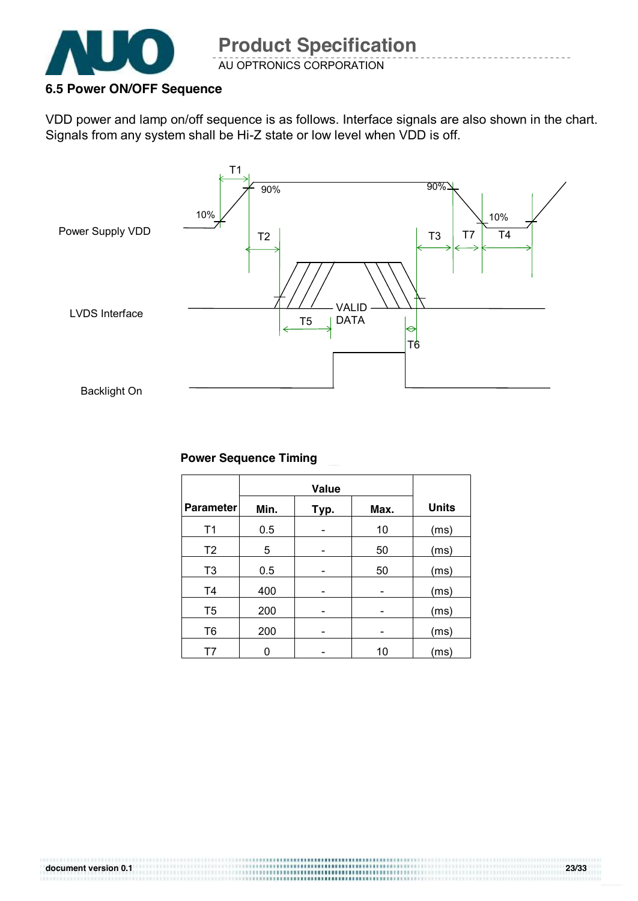

#### **6.5 Power ON/OFF Sequence**

VDD power and lamp on/off sequence is as follows. Interface signals are also shown in the chart. Signals from any system shall be Hi-Z state or low level when VDD is off.



**Power Sequence Timing** 

| <b>Parameter</b> | Min. | Typ. | Max. | <b>Units</b> |
|------------------|------|------|------|--------------|
| T1               | 0.5  |      | 10   | (ms)         |
| T <sub>2</sub>   | 5    |      | 50   | (ms)         |
| T <sub>3</sub>   | 0.5  |      | 50   | (ms)         |
| T <sub>4</sub>   | 400  |      |      | (ms)         |
| T <sub>5</sub>   | 200  |      |      | (ms)         |
| T <sub>6</sub>   | 200  |      |      | (ms)         |
| Τ7               |      |      | 10   | (ms)         |

...........................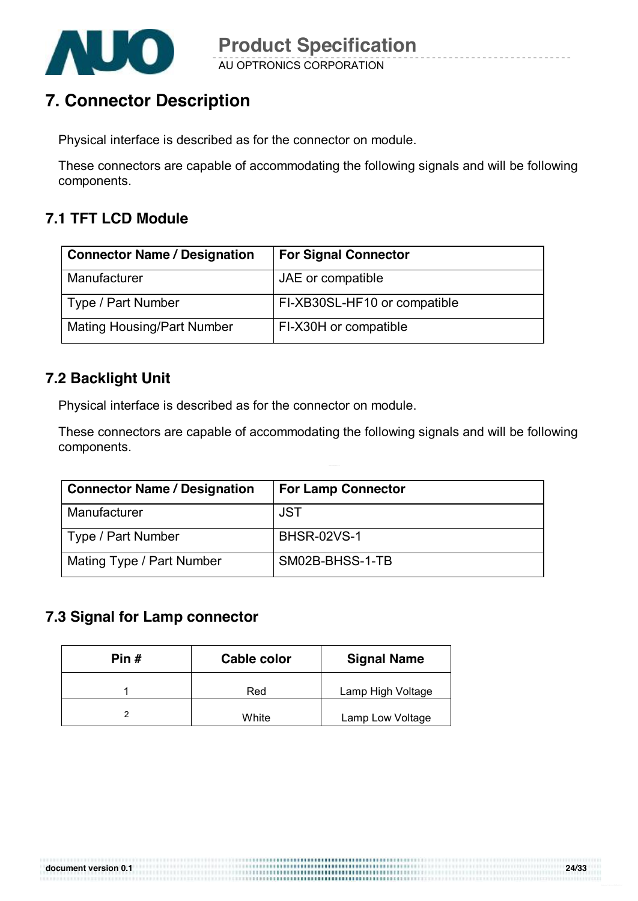

### **7. Connector Description**

Physical interface is described as for the connector on module.

These connectors are capable of accommodating the following signals and will be following components.

### **7.1 TFT LCD Module**

| <b>Connector Name / Designation</b> | <b>For Signal Connector</b>  |
|-------------------------------------|------------------------------|
| Manufacturer                        | JAE or compatible            |
| Type / Part Number                  | FI-XB30SL-HF10 or compatible |
| <b>Mating Housing/Part Number</b>   | FI-X30H or compatible        |

### **7.2 Backlight Unit**

Physical interface is described as for the connector on module.

These connectors are capable of accommodating the following signals and will be following components.

....................................

| <b>Connector Name / Designation</b> | <b>For Lamp Connector</b> |
|-------------------------------------|---------------------------|
| Manufacturer                        | <b>JST</b>                |
| Type / Part Number                  | <b>BHSR-02VS-1</b>        |
| Mating Type / Part Number           | SM02B-BHSS-1-TB           |

### **7.3 Signal for Lamp connector**

| Pin # | <b>Cable color</b> | <b>Signal Name</b> |
|-------|--------------------|--------------------|
|       | Red                | Lamp High Voltage  |
|       | White              | Lamp Low Voltage   |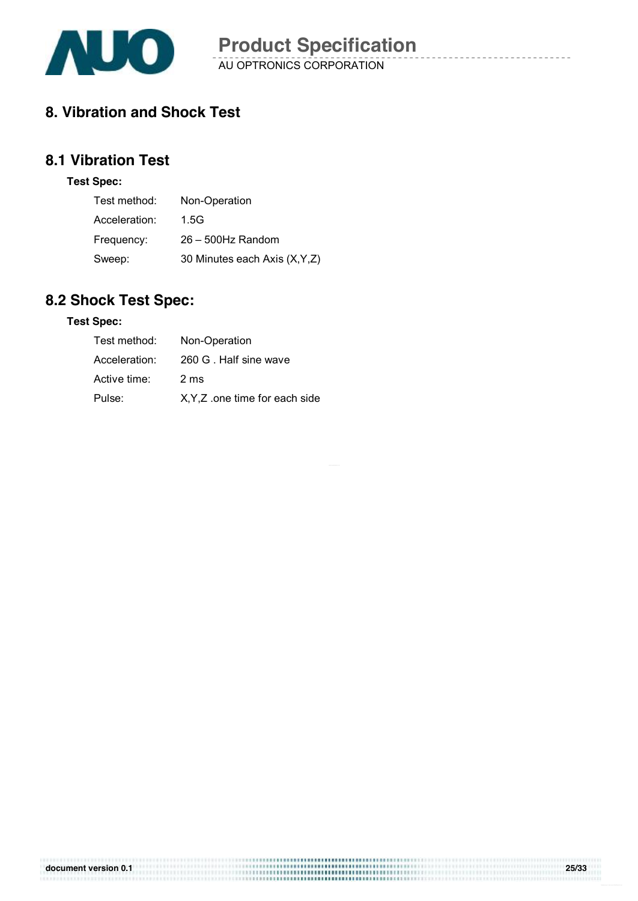

,,,,,,,,,,,,,,,,,,,,,,,,,,,,,,,,,

### **8. Vibration and Shock Test**

### **8.1 Vibration Test**

#### **Test Spec:**

| Test method:  | Non-Operation                  |
|---------------|--------------------------------|
| Acceleration: | 1.5G                           |
| Frequency:    | $26 - 500$ Hz Random           |
| Sweep:        | 30 Minutes each Axis (X, Y, Z) |

### **8.2 Shock Test Spec:**

#### **Test Spec:**

| Test method:  | Non-Operation                  |
|---------------|--------------------------------|
| Acceleration: | 260 G. Half sine wave          |
| Active time:  | 2 ms                           |
| Pulse:        | X, Y, Z one time for each side |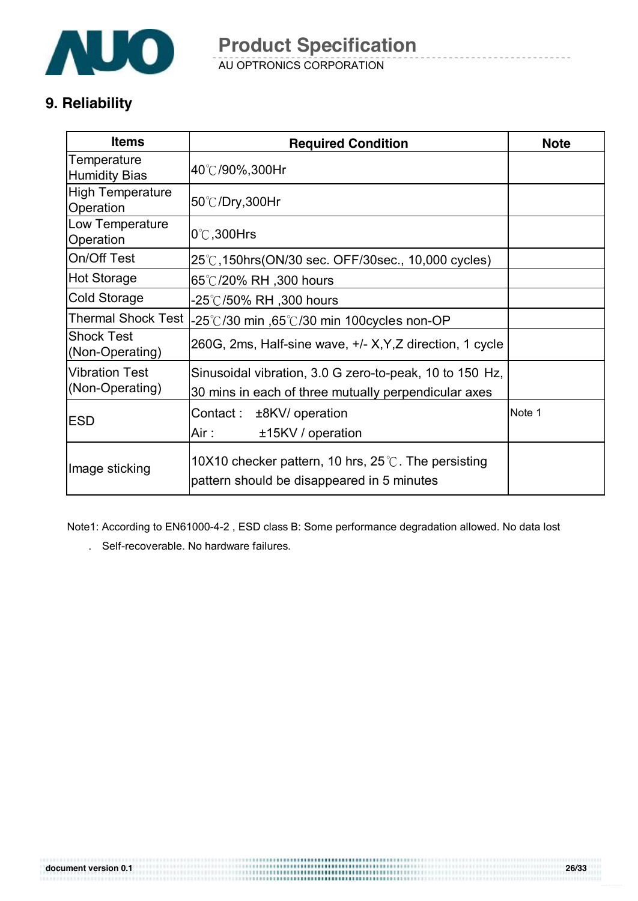

AU OPTRONICS CORPORATION **Product Specification** 

### **9. Reliability**

| <b>Items</b>                             | <b>Required Condition</b>                                                                                       | <b>Note</b> |
|------------------------------------------|-----------------------------------------------------------------------------------------------------------------|-------------|
| Temperature<br><b>Humidity Bias</b>      | 40℃/90%,300Hr                                                                                                   |             |
| <b>High Temperature</b><br>Operation     | 50℃/Dry,300Hr                                                                                                   |             |
| Low Temperature<br>Operation             | $0^\circ\text{C}$ ,300Hrs                                                                                       |             |
| On/Off Test                              | 25℃,150hrs(ON/30 sec. OFF/30sec., 10,000 cycles)                                                                |             |
| Hot Storage                              | 65℃/20% RH ,300 hours                                                                                           |             |
| <b>Cold Storage</b>                      | -25℃/50% RH ,300 hours                                                                                          |             |
| <b>Thermal Shock Test</b>                | -25℃/30 min ,65℃/30 min 100cycles non-OP                                                                        |             |
| <b>Shock Test</b><br>(Non-Operating)     | 260G, 2ms, Half-sine wave, +/- X, Y, Z direction, 1 cycle                                                       |             |
| <b>Vibration Test</b><br>(Non-Operating) | Sinusoidal vibration, 3.0 G zero-to-peak, 10 to 150 Hz,<br>30 mins in each of three mutually perpendicular axes |             |
| <b>ESD</b>                               | Contact :<br>±8KV/ operation<br>Air:<br>±15KV / operation                                                       | Note 1      |
| Image sticking                           | 10X10 checker pattern, 10 hrs, 25 $\degree$ C. The persisting<br>pattern should be disappeared in 5 minutes     |             |

Note1: According to EN61000-4-2 , ESD class B: Some performance degradation allowed. No data lost

. Self-recoverable. No hardware failures.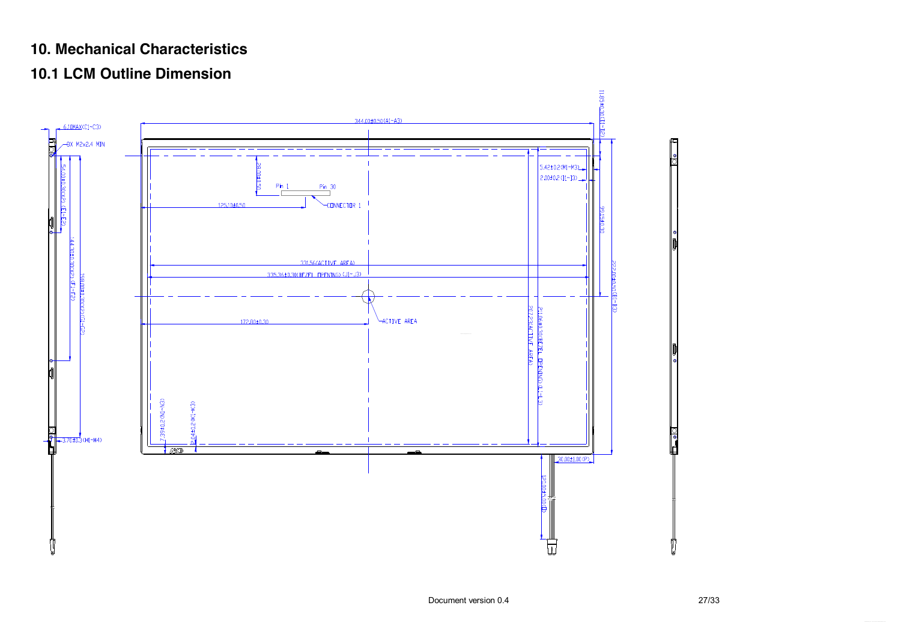# **10. Mechanical Characteristics**

### **10.1 LCM Outline Dimension**

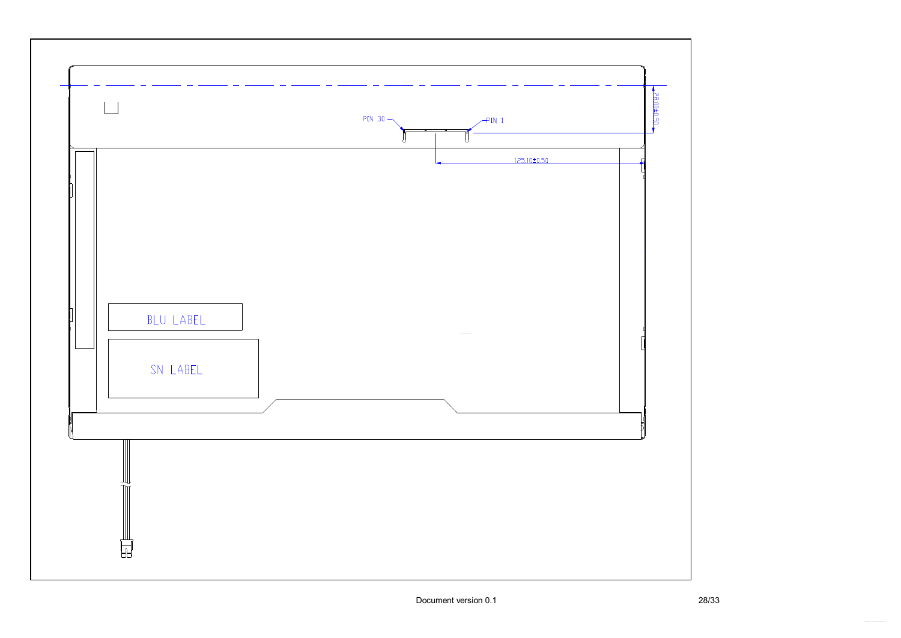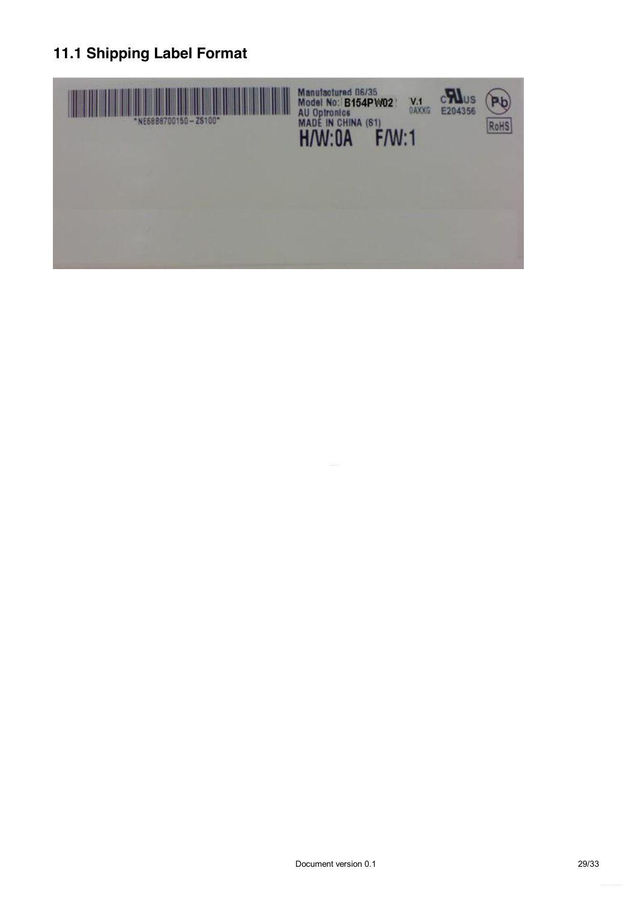### **11.1 Shipping Label Format**

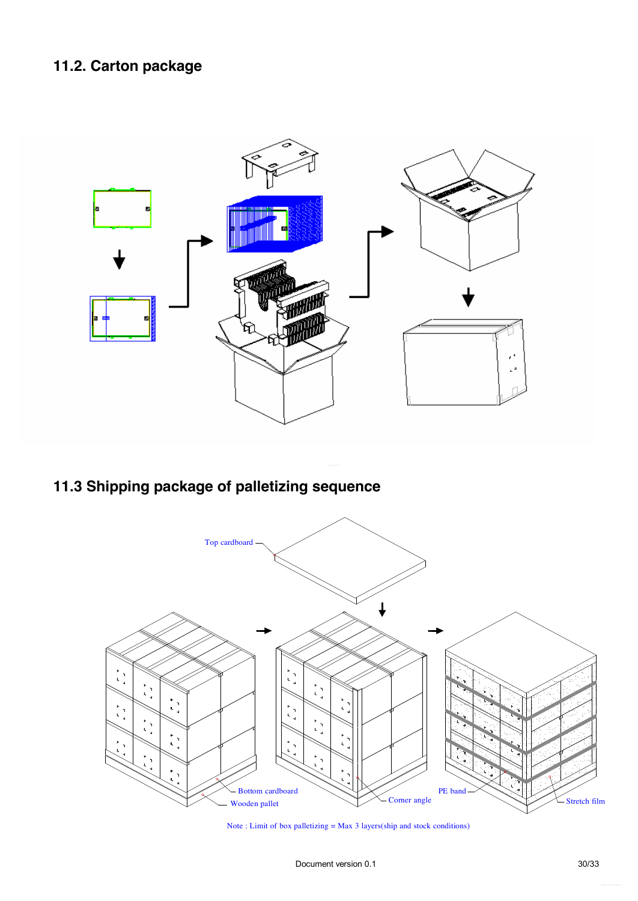### **11.2. Carton package**



### **11.3 Shipping package of palletizing sequence**



Note : Limit of box palletizing = Max 3 layers(ship and stock conditions)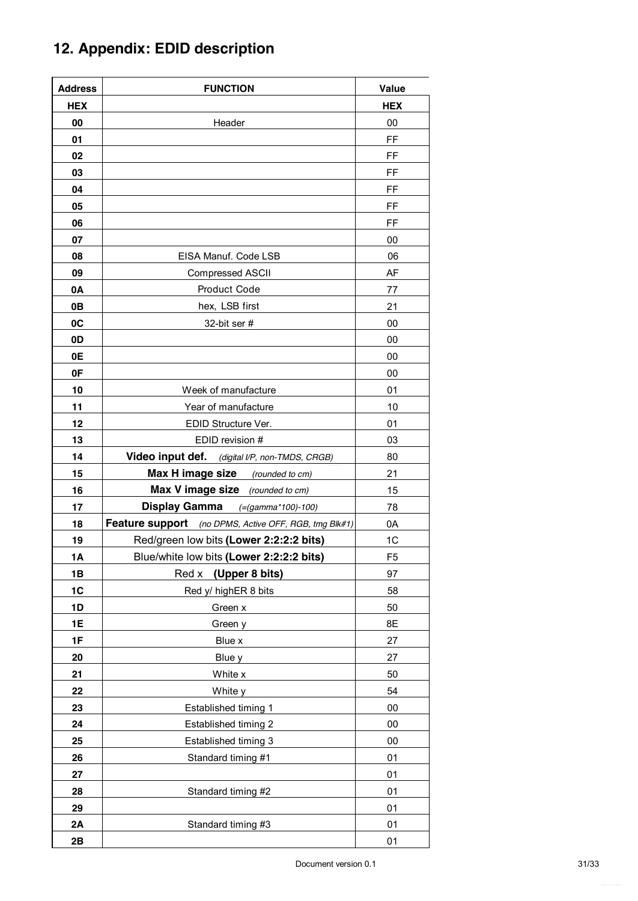### **12. Appendix: EDID description**

| <b>Address</b> | <b>FUNCTION</b>                                       | Value          |
|----------------|-------------------------------------------------------|----------------|
| <b>HEX</b>     |                                                       | <b>HEX</b>     |
| 00             | Header                                                | 00             |
| 01             |                                                       | FF.            |
| 02             |                                                       | FF             |
| 03             |                                                       | FF             |
| 04             |                                                       | FF             |
| 05             |                                                       | FF             |
| 06             |                                                       | FF             |
| 07             |                                                       | 00             |
| 08             | EISA Manuf. Code LSB                                  | 06             |
| 09             | Compressed ASCII                                      | AF             |
| 0A             | Product Code                                          | 77             |
| <b>0B</b>      | hex, LSB first                                        | 21             |
| 0C             | 32-bit ser #                                          | $00\,$         |
| 0D             |                                                       | 00             |
| 0E             |                                                       | 00             |
| 0F             |                                                       | 00             |
| 10             | Week of manufacture                                   | 01             |
| 11             | Year of manufacture                                   | 10             |
| 12             | EDID Structure Ver.                                   | 01             |
| 13             | EDID revision #                                       | 03             |
| 14             | Video input def. (digital I/P, non-TMDS, CRGB)        | 80             |
| 15             | <b>Max H image size</b> (rounded to cm)               | 21             |
| 16             | Max V image size (rounded to cm)                      | 15             |
| 17             | Display Gamma $(=(gamma * 100) - 100)$                | 78             |
| 18             | Feature support (no DPMS, Active OFF, RGB, tmg Blk#1) | 0A             |
| 19             | Red/green low bits (Lower 2:2:2:2 bits)               | 1 <sup>C</sup> |
| 1A             | Blue/white low bits (Lower 2:2:2:2 bits)              | F <sub>5</sub> |
| 1B             | (Upper 8 bits)<br>Red x                               | 97             |
| 1C             | Red y/ highER 8 bits                                  | 58             |
| 1D             | Green x                                               | 50             |
| 1E             | Green y                                               | 8E             |
| 1F             | Blue x                                                | 27             |
| 20             | Blue y                                                | 27             |
| 21             | White x                                               | 50             |
| 22             | White y                                               | 54             |
| 23             | Established timing 1                                  | $00\,$         |
| 24             | Established timing 2                                  | 00             |
| 25             | Established timing 3                                  | $00\,$         |
| 26             | Standard timing #1                                    | 01             |
| 27             |                                                       | 01             |
| 28             | Standard timing #2                                    | 01             |
| 29             |                                                       | 01             |
| 2A             | Standard timing #3                                    | 01             |
| 2B             |                                                       | 01             |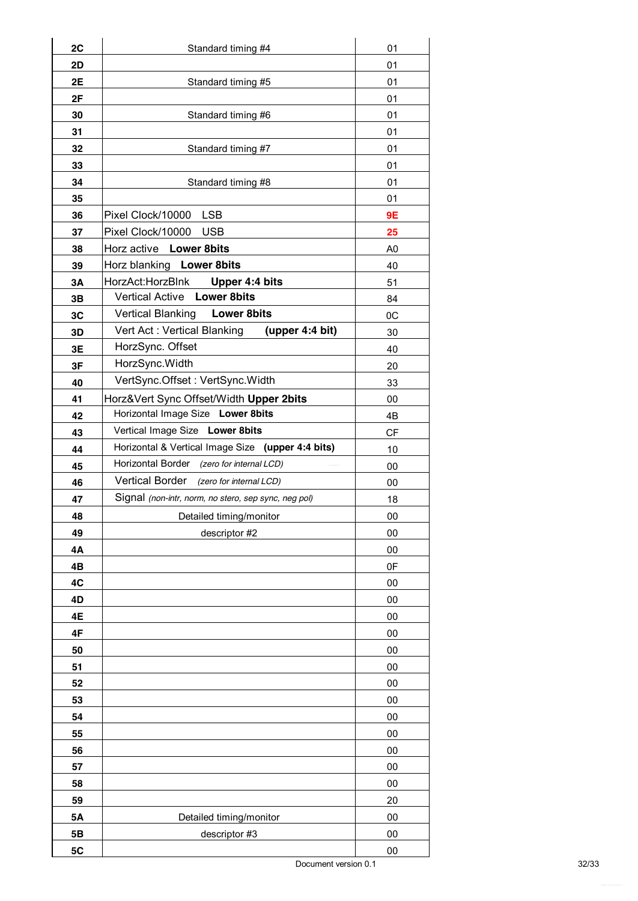| 2C | Standard timing #4                                   | 01             |
|----|------------------------------------------------------|----------------|
| 2D |                                                      | 01             |
| 2E | Standard timing #5                                   | 01             |
| 2F |                                                      | 01             |
| 30 | Standard timing #6                                   | 01             |
| 31 |                                                      | 01             |
| 32 | Standard timing #7                                   | 01             |
| 33 |                                                      | 01             |
| 34 | Standard timing #8                                   | 01             |
| 35 |                                                      | 01             |
| 36 | Pixel Clock/10000 LSB                                | 9E             |
| 37 | Pixel Clock/10000<br><b>USB</b>                      | 25             |
| 38 | Horz active Lower 8bits                              | A <sub>0</sub> |
| 39 | Horz blanking Lower 8bits                            | 40             |
| 3A | HorzAct:HorzBlnk<br>Upper 4:4 bits                   | 51             |
| 3В | Vertical Active Lower 8bits                          | 84             |
| 3C | Vertical Blanking Lower 8bits                        | 0C             |
| 3D | Vert Act: Vertical Blanking<br>(upper 4:4 bit)       | 30             |
| 3E | HorzSync. Offset                                     | 40             |
| 3F | HorzSync. Width                                      | 20             |
| 40 | VertSync.Offset: VertSync.Width                      | 33             |
| 41 | Horz‖ Sync Offset/Width Upper 2bits                  | 00             |
| 42 | Horizontal Image Size Lower 8bits                    | 4B             |
| 43 | Vertical Image Size Lower 8bits                      | <b>CF</b>      |
| 44 | Horizontal & Vertical Image Size (upper 4:4 bits)    | 10             |
| 45 | Horizontal Border (zero for internal LCD)            | 00             |
| 46 | Vertical Border (zero for internal LCD)              | 00             |
| 47 | Signal (non-intr, norm, no stero, sep sync, neg pol) | 18             |
| 48 | Detailed timing/monitor                              | $00\,$         |
| 49 | descriptor #2                                        | 00             |
| 4A |                                                      | 00             |
| 4B |                                                      | 0F             |
| 4C |                                                      | 00             |
| 4D |                                                      | 00             |
| 4E |                                                      | 00             |
| 4F |                                                      | 00             |
| 50 |                                                      | 00             |
| 51 |                                                      | 00             |
| 52 |                                                      | 00             |
| 53 |                                                      | 00             |
| 54 |                                                      | 00             |
| 55 |                                                      | 00             |
| 56 |                                                      | 00             |
| 57 |                                                      | 00             |
| 58 |                                                      | 00             |
| 59 |                                                      | 20             |
| 5A | Detailed timing/monitor                              | 00             |
| 5B | descriptor #3                                        | 00             |
| 5C |                                                      | 00             |